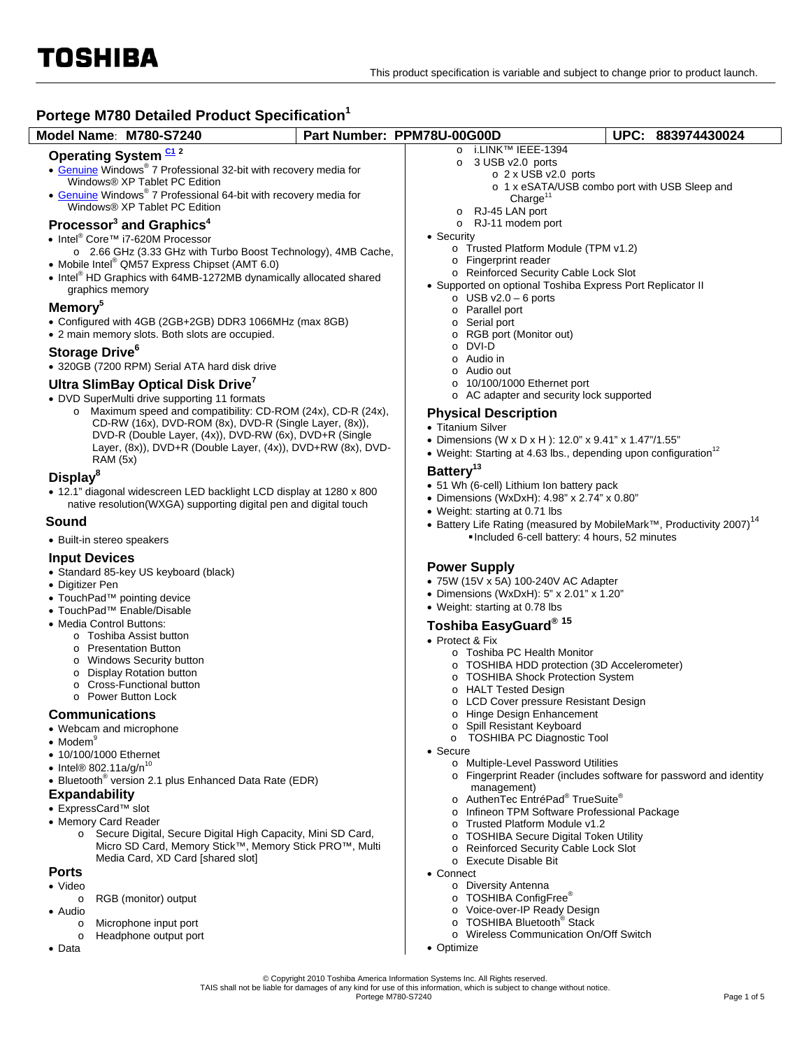$\overline{\phantom{a}}$ 

# **Portege M780 Detailed Product Specification<sup>1</sup>**

| Portege M780 Detailed Product Specification <sup>1</sup>                                                                                                                                                                                                                                                                                                                                                                                                                                                                                                                                                                                                 |                            |                                                                                                                                                                                                                                                                                                                                                                                                                                           |                                                                                               |  |
|----------------------------------------------------------------------------------------------------------------------------------------------------------------------------------------------------------------------------------------------------------------------------------------------------------------------------------------------------------------------------------------------------------------------------------------------------------------------------------------------------------------------------------------------------------------------------------------------------------------------------------------------------------|----------------------------|-------------------------------------------------------------------------------------------------------------------------------------------------------------------------------------------------------------------------------------------------------------------------------------------------------------------------------------------------------------------------------------------------------------------------------------------|-----------------------------------------------------------------------------------------------|--|
| Model Name: M780-S7240                                                                                                                                                                                                                                                                                                                                                                                                                                                                                                                                                                                                                                   | Part Number: PPM78U-00G00D |                                                                                                                                                                                                                                                                                                                                                                                                                                           | UPC: 883974430024                                                                             |  |
| Operating System <sup>C1</sup> <sup>2</sup><br>• Genuine Windows® 7 Professional 32-bit with recovery media for<br>Windows® XP Tablet PC Edition<br>• Genuine Windows® 7 Professional 64-bit with recovery media for<br>Windows® XP Tablet PC Edition                                                                                                                                                                                                                                                                                                                                                                                                    |                            | o i.LINK™ IEEE-1394<br>3 USB v2.0 ports<br>$\circ$ 2 x USB v2.0 ports<br>Charge $11$<br>RJ-45 LAN port                                                                                                                                                                                                                                                                                                                                    | o 1 x eSATA/USB combo port with USB Sleep and                                                 |  |
| Processor <sup>3</sup> and Graphics <sup>4</sup><br>• Intel <sup>®</sup> Core™ i7-620M Processor<br>o 2.66 GHz (3.33 GHz with Turbo Boost Technology), 4MB Cache,<br>• Mobile Intel <sup>®</sup> QM57 Express Chipset (AMT 6.0)<br>• Intel <sup>®</sup> HD Graphics with 64MB-1272MB dynamically allocated shared<br>graphics memory<br>Memory <sup>5</sup><br>• Configured with 4GB (2GB+2GB) DDR3 1066MHz (max 8GB)<br>• 2 main memory slots. Both slots are occupied.<br>Storage Drive <sup>6</sup><br>• 320GB (7200 RPM) Serial ATA hard disk drive<br>Ultra SlimBay Optical Disk Drive <sup>7</sup><br>• DVD SuperMulti drive supporting 11 formats |                            | $\circ$<br>RJ-11 modem port<br>$\circ$<br>• Security<br>o Trusted Platform Module (TPM v1.2)<br>o Fingerprint reader<br>o Reinforced Security Cable Lock Slot<br>• Supported on optional Toshiba Express Port Replicator II<br>$\circ$ USB v2.0 - 6 ports<br>o Parallel port<br>o Serial port<br>RGB port (Monitor out)<br>DVI-D<br>o Audio in<br>Audio out<br>O<br>10/100/1000 Ethernet port<br>o AC adapter and security lock supported |                                                                                               |  |
| Maximum speed and compatibility: CD-ROM (24x), CD-R (24x),<br>CD-RW (16x), DVD-ROM (8x), DVD-R (Single Layer, (8x)),<br>DVD-R (Double Layer, (4x)), DVD-RW (6x), DVD+R (Single<br>Layer, (8x)), DVD+R (Double Layer, (4x)), DVD+RW (8x), DVD-<br><b>RAM (5x)</b>                                                                                                                                                                                                                                                                                                                                                                                         |                            | <b>Physical Description</b><br>• Titanium Silver<br>• Dimensions (W x D x H): 12.0" x 9.41" x 1.47"/1.55"<br>• Weight: Starting at 4.63 lbs., depending upon configuration <sup>12</sup>                                                                                                                                                                                                                                                  |                                                                                               |  |
| Display <sup>8</sup><br>• 12.1" diagonal widescreen LED backlight LCD display at 1280 x 800<br>native resolution(WXGA) supporting digital pen and digital touch                                                                                                                                                                                                                                                                                                                                                                                                                                                                                          |                            | Battery <sup>13</sup><br>• 51 Wh (6-cell) Lithium Ion battery pack<br>• Dimensions (WxDxH): 4.98" x 2.74" x 0.80"<br>• Weight: starting at 0.71 lbs                                                                                                                                                                                                                                                                                       |                                                                                               |  |
| Sound                                                                                                                                                                                                                                                                                                                                                                                                                                                                                                                                                                                                                                                    |                            |                                                                                                                                                                                                                                                                                                                                                                                                                                           | • Battery Life Rating (measured by MobileMark <sup>™</sup> , Productivity 2007) <sup>14</sup> |  |
| • Built-in stereo speakers                                                                                                                                                                                                                                                                                                                                                                                                                                                                                                                                                                                                                               |                            | . Included 6-cell battery: 4 hours, 52 minutes                                                                                                                                                                                                                                                                                                                                                                                            |                                                                                               |  |
| <b>Input Devices</b><br>• Standard 85-key US keyboard (black)<br>• Digitizer Pen<br>• TouchPad™ pointing device<br>• TouchPad <sup>™</sup> Enable/Disable<br>• Media Control Buttons:<br>o Toshiba Assist button<br>o Presentation Button<br>Windows Security button<br>$\circ$<br><b>Display Rotation button</b><br>Cross-Functional button<br>o Power Button Lock                                                                                                                                                                                                                                                                                      |                            | <b>Power Supply</b><br>• 75W (15V x 5A) 100-240V AC Adapter<br>• Dimensions (WxDxH): 5" x 2.01" x 1.20"<br>• Weight: starting at 0.78 lbs<br>Toshiba EasyGuard® 15<br>• Protect & Fix<br>o Toshiba PC Health Monitor<br>o TOSHIBA HDD protection (3D Accelerometer)<br><b>TOSHIBA Shock Protection System</b><br>O<br>o HALT Tested Design<br>LCD Cover pressure Resistant Design                                                         |                                                                                               |  |
| <b>Communications</b><br>• Webcam and microphone<br>$\bullet$ Modem <sup>9</sup><br>• 10/100/1000 Ethernet<br>$\bullet$ Intel® 802.11a/g/n <sup>10</sup><br>• Bluetooth <sup>®</sup> version 2.1 plus Enhanced Data Rate (EDR)<br><b>Expandability</b><br>● ExpressCard™ slot<br>• Memory Card Reader<br>Secure Digital, Secure Digital High Capacity, Mini SD Card,<br>$\circ$<br>Micro SD Card, Memory Stick™, Memory Stick PRO™, Multi<br>Media Card, XD Card [shared slot]                                                                                                                                                                           |                            | o Hinge Design Enhancement<br>Spill Resistant Keyboard<br><b>TOSHIBA PC Diagnostic Tool</b><br>O<br>• Secure<br>o Multiple-Level Password Utilities<br>management)<br>o AuthenTec EntréPad® TrueSuite®<br>Infineon TPM Software Professional Package<br>Trusted Platform Module v1.2<br><b>TOSHIBA Secure Digital Token Utility</b><br>O<br><b>Reinforced Security Cable Lock Slot</b><br>O<br>o Execute Disable Bit                      | ○ Fingerprint Reader (includes software for password and identity                             |  |
| <b>Ports</b><br>• Video<br>RGB (monitor) output<br>O<br>• Audio<br>Microphone input port<br>O<br>Headphone output port<br>$\Omega$                                                                                                                                                                                                                                                                                                                                                                                                                                                                                                                       |                            | • Connect<br>o Diversity Antenna<br>o TOSHIBA ConfigFree®<br>Voice-over-IP Ready Design<br>$\circ$<br>o TOSHIBA Bluetooth <sup>®</sup> Stack<br>o Wireless Communication On/Off Switch                                                                                                                                                                                                                                                    |                                                                                               |  |

- o Headphone output port
- Data

© Copyright 2010 Toshiba America Information Systems Inc. All Rights reserved.<br>TAIS shall not be liable for damages of any kind for use of this information, which is subject to change without notice.<br>Page 1 of 5

• Optimize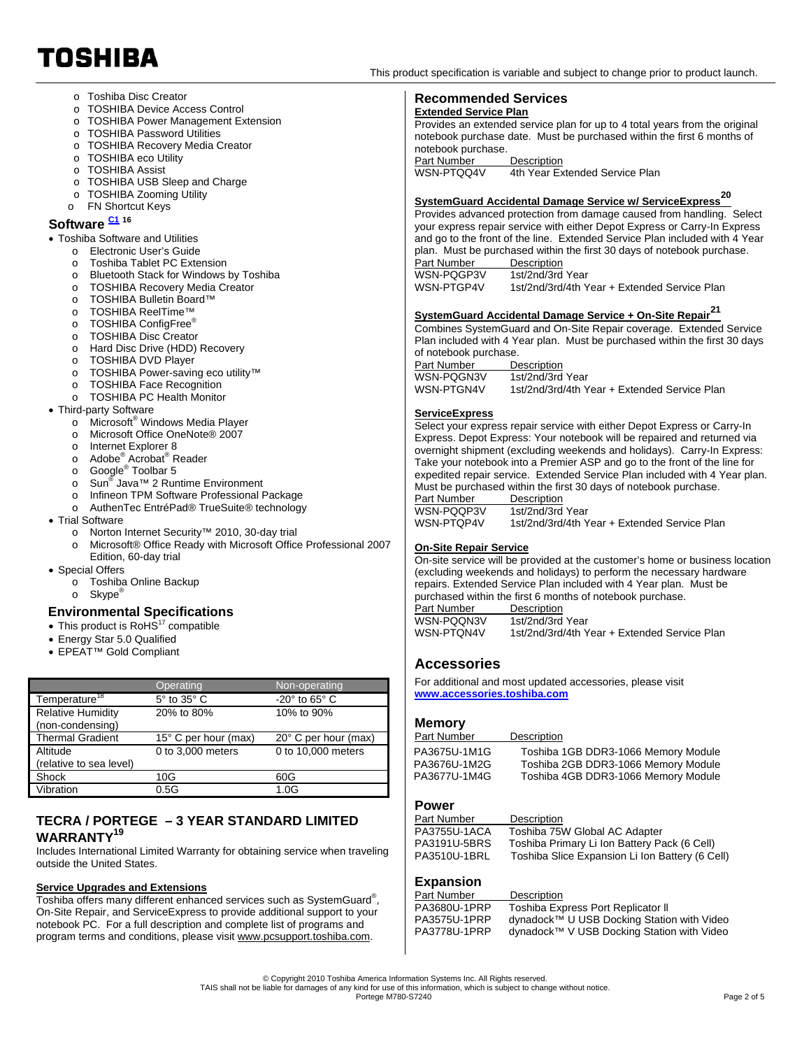- o Toshiba Disc Creator
- o TOSHIBA Device Access Control
- o TOSHIBA Power Management Extension
- o TOSHIBA Password Utilities
- o TOSHIBA Recovery Media Creator
- o TOSHIBA eco Utility
- o TOSHIBA Assist
- o TOSHIBA USB Sleep and Charge
- o TOSHIBA Zooming Utility
- o FN Shortcut Keys

# Software  $\frac{C1}{16}$  16

## Toshiba Software and Utilities

- o Electronic User's Guide
- o Toshiba Tablet PC Extension
- o Bluetooth Stack for Windows by Toshiba
- o TOSHIBA Recovery Media Creator
- o TOSHIBA Bulletin Board™
- o TOSHIBA ReelTime™
- o TOSHIBA ConfigFree®
- o TOSHIBA Disc Creator
- o Hard Disc Drive (HDD) Recovery
- o TOSHIBA DVD Player
- o TOSHIBA Power-saving eco utility™
- o TOSHIBA Face Recognition
- o TOSHIBA PC Health Monitor
- Third-party Software
	- o Microsoft<sup>®</sup> Windows Media Player
	- o Microsoft Office OneNote® 2007
	- o Internet Explorer 8
	-
	- o Adobe<sup>®</sup> Acrobat<sup>®</sup> Reader<br>o Google<sup>®</sup> Toolbar 5
	- o Sun® Java™ 2 Runtime Environment
	- o Infineon TPM Software Professional Package
	- o AuthenTec EntréPad® TrueSuite® technology
- Trial Software
	- o Norton Internet Security™ 2010, 30-day trial
	- o Microsoft® Office Ready with Microsoft Office Professional 2007 Edition, 60-day trial
- Special Offers
	- o Toshiba Online Backup
	- o Skype<sup>®</sup>

### **Environmental Specifications**

- $\bullet$  This product is RoHS<sup>17</sup> compatible
- Energy Star 5.0 Qualified
- EPEAT™ Gold Compliant

|                                              | Operating                 | Non-operating                |
|----------------------------------------------|---------------------------|------------------------------|
| Temperature <sup>18</sup>                    | $5^\circ$ to $35^\circ$ C | $-20^\circ$ to 65 $^\circ$ C |
| <b>Relative Humidity</b><br>(non-condensing) | 20% to 80%                | 10% to 90%                   |
| <b>Thermal Gradient</b>                      | 15° C per hour (max)      | 20° C per hour (max)         |
| Altitude                                     | 0 to 3,000 meters         | 0 to 10,000 meters           |
| (relative to sea level)                      |                           |                              |
| Shock                                        | 10G                       | 60G                          |
| Vibration                                    | 0.5G                      | 1.0G                         |

# **TECRA / PORTEGE – 3 YEAR STANDARD LIMITED WARRANTY19**

Includes International Limited Warranty for obtaining service when traveling outside the United States.

### **Service Upgrades and Extensions**

Toshiba offers many different enhanced services such as SystemGuard® , On-Site Repair, and ServiceExpress to provide additional support to your notebook PC. For a full description and complete list of programs and program terms and conditions, please visit www.pcsupport.toshiba.com.

TOSHIBA

### **Recommended Services Extended Service Plan**

Provides an extended service plan for up to 4 total years from the original notebook purchase date. Must be purchased within the first 6 months of notebook purchase.

**Part Number Description**<br>WSN-PTOO4V 4th Year Fx 4th Year Extended Service Plan

# **SystemGuard Accidental Damage Service w/ ServiceExpress<sup>20</sup>**

Provides advanced protection from damage caused from handling. Select your express repair service with either Depot Express or Carry-In Express and go to the front of the line. Extended Service Plan included with 4 Year plan. Must be purchased within the first 30 days of notebook purchase. Part Number<br>WSN-PQGP3V WSN-PQGP3V 1st/2nd/3rd Year<br>WSN-PTGP4V 1st/2nd/3rd/4th Y

1st/2nd/3rd/4th Year + Extended Service Plan

# **SystemGuard Accidental Damage Service + On-Site Repair<sup>21</sup>**

Combines SystemGuard and On-Site Repair coverage. Extended Service Plan included with 4 Year plan. Must be purchased within the first 30 days of notebook purchase.

Part Number Description<br>WSN-PQGN3V 1st/2nd/3rd WSN-PQGN3V 1st/2nd/3rd Year<br>WSN-PTGN4V 1st/2nd/3rd/4th Y 1st/2nd/3rd/4th Year + Extended Service Plan

## **ServiceExpress**

Select your express repair service with either Depot Express or Carry-In Express. Depot Express: Your notebook will be repaired and returned via overnight shipment (excluding weekends and holidays). Carry-In Express: Take your notebook into a Premier ASP and go to the front of the line for expedited repair service. Extended Service Plan included with 4 Year plan. Must be purchased within the first 30 days of notebook purchase. Part Number Description<br>WSN-PQQP3V 1st/2nd/3rd WSN-PQQP3V 1st/2nd/3rd Year<br>WSN-PTQP4V 1st/2nd/3rd/4th Y

1st/2nd/3rd/4th Year + Extended Service Plan

### **On-Site Repair Service**

On-site service will be provided at the customer's home or business location (excluding weekends and holidays) to perform the necessary hardware repairs. Extended Service Plan included with 4 Year plan. Must be purchased within the first 6 months of notebook purchase. Part Number Description

WSN-PQQN3V 1st/2nd/3rd Year<br>WSN-PTQN4V 1st/2nd/3rd/4th Y 1st/2nd/3rd/4th Year + Extended Service Plan

## **Accessories**

For additional and most updated accessories, please visit **www.accessories.toshiba.com**

## **Memory**

| Description                         |
|-------------------------------------|
| Toshiba 1GB DDR3-1066 Memory Module |
| Toshiba 2GB DDR3-1066 Memory Module |
| Toshiba 4GB DDR3-1066 Memory Module |
|                                     |

# **Power**

| Part Number  | Description                                     |
|--------------|-------------------------------------------------|
| PA3755U-1ACA | Toshiba 75W Global AC Adapter                   |
| PA3191U-5BRS | Toshiba Primary Li Ion Battery Pack (6 Cell)    |
| PA3510U-1BRL | Toshiba Slice Expansion Li Ion Battery (6 Cell) |

# **Expansion**

| Part Number  | Description                                |
|--------------|--------------------------------------------|
| PA3680U-1PRP | Toshiba Express Port Replicator II         |
| PA3575U-1PRP | dynadock™ U USB Docking Station with Video |
| PA3778U-1PRP | dynadock™ V USB Docking Station with Video |
|              |                                            |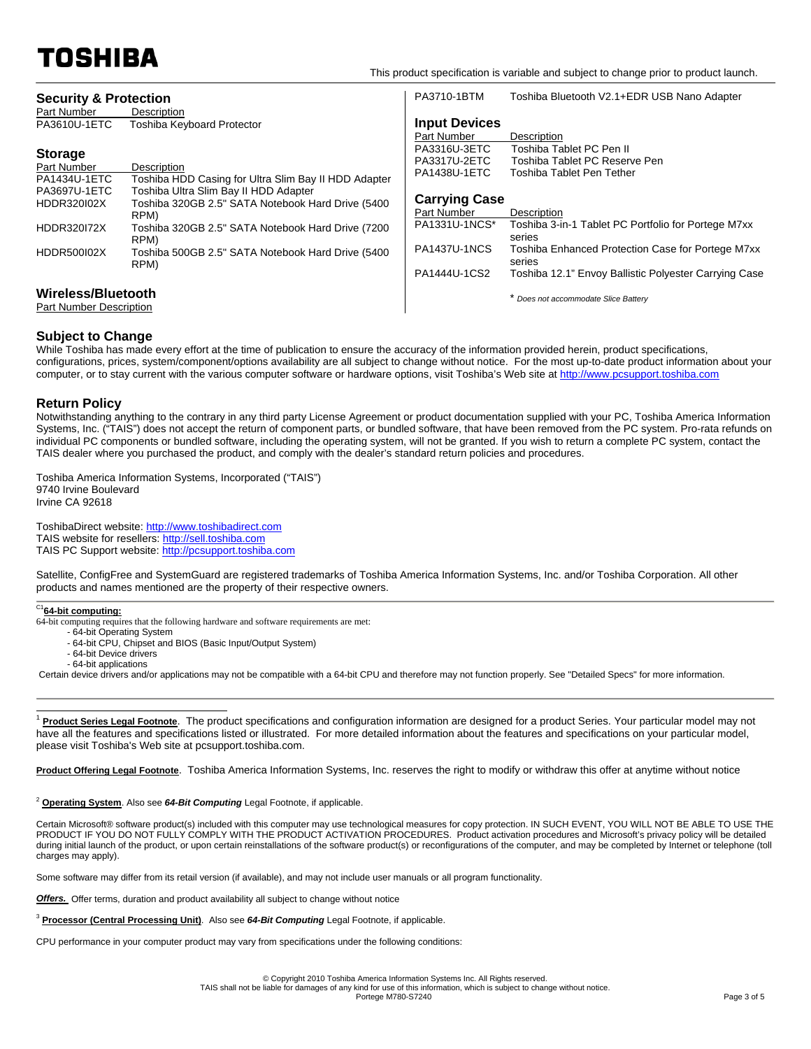TOSHIBA

| <b>Security &amp; Protection</b><br>Part Number               | Description                                                                                                                                              | PA3710-1BTM                                                                         | Toshiba Bluetooth V2.1+EDR USB Nano Adapter                                                                                    |
|---------------------------------------------------------------|----------------------------------------------------------------------------------------------------------------------------------------------------------|-------------------------------------------------------------------------------------|--------------------------------------------------------------------------------------------------------------------------------|
| PA3610U-1ETC<br><b>Storage</b><br>Part Number<br>PA1434U-1ETC | <b>Toshiba Keyboard Protector</b><br>Description<br>Toshiba HDD Casing for Ultra Slim Bay II HDD Adapter                                                 | <b>Input Devices</b><br>Part Number<br>PA3316U-3ETC<br>PA3317U-2ETC<br>PA1438U-1ETC | Description<br>Toshiba Tablet PC Pen II<br>Toshiba Tablet PC Reserve Pen<br>Toshiba Tablet Pen Tether                          |
| PA3697U-1ETC<br><b>HDDR320102X</b><br><b>HDDR320172X</b>      | Toshiba Ultra Slim Bay II HDD Adapter<br>Toshiba 320GB 2.5" SATA Notebook Hard Drive (5400<br>RPM)<br>Toshiba 320GB 2.5" SATA Notebook Hard Drive (7200) | <b>Carrying Case</b><br>Part Number<br>PA1331U-1NCS*                                | Description<br>Toshiba 3-in-1 Tablet PC Portfolio for Portege M7xx                                                             |
| HDDR500I02X                                                   | RPM)<br>Toshiba 500GB 2.5" SATA Notebook Hard Drive (5400<br>RPM)                                                                                        | <b>PA1437U-1NCS</b><br>PA1444U-1CS2                                                 | series<br>Toshiba Enhanced Protection Case for Portege M7xx<br>series<br>Toshiba 12.1" Envoy Ballistic Polyester Carrying Case |
| Wireless/Bluetooth<br><b>Part Number Description</b>          |                                                                                                                                                          |                                                                                     | Does not accommodate Slice Battery                                                                                             |

## **Subject to Change**

While Toshiba has made every effort at the time of publication to ensure the accuracy of the information provided herein, product specifications, configurations, prices, system/component/options availability are all subject to change without notice. For the most up-to-date product information about your computer, or to stay current with the various computer software or hardware options, visit Toshiba's Web site at http://www.pcsupport.toshiba.com

## **Return Policy**

Notwithstanding anything to the contrary in any third party License Agreement or product documentation supplied with your PC, Toshiba America Information Systems, Inc. ("TAIS") does not accept the return of component parts, or bundled software, that have been removed from the PC system. Pro-rata refunds on individual PC components or bundled software, including the operating system, will not be granted. If you wish to return a complete PC system, contact the TAIS dealer where you purchased the product, and comply with the dealer's standard return policies and procedures.

Toshiba America Information Systems, Incorporated ("TAIS") 9740 Irvine Boulevard Irvine CA 92618

ToshibaDirect website: http://www.toshibadirect.com TAIS website for resellers: http://sell.toshiba.com TAIS PC Support website: http://pcsupport.toshiba.com

Satellite, ConfigFree and SystemGuard are registered trademarks of Toshiba America Information Systems, Inc. and/or Toshiba Corporation. All other products and names mentioned are the property of their respective owners.

# C1**64-bit computing:**

- 64-bit computing requires that the following hardware and software requirements are met:
	- 64-bit Operating System
	- 64-bit CPU, Chipset and BIOS (Basic Input/Output System)
	- 64-bit Device drivers - 64-bit applications

Certain device drivers and/or applications may not be compatible with a 64-bit CPU and therefore may not function properly. See "Detailed Specs" for more information.

 $\overline{a}$ Product Series Legal Footnote. The product specifications and configuration information are designed for a product Series. Your particular model may not have all the features and specifications listed or illustrated. For more detailed information about the features and specifications on your particular model, please visit Toshiba's Web site at pcsupport.toshiba.com.

**Product Offering Legal Footnote**. Toshiba America Information Systems, Inc. reserves the right to modify or withdraw this offer at anytime without notice

## <sup>2</sup> **Operating System**. Also see 64-Bit Computing Legal Footnote, if applicable.

Certain Microsoft® software product(s) included with this computer may use technological measures for copy protection. IN SUCH EVENT, YOU WILL NOT BE ABLE TO USE THE PRODUCT IF YOU DO NOT FULLY COMPLY WITH THE PRODUCT ACTIVATION PROCEDURES. Product activation procedures and Microsoft's privacy policy will be detailed during initial launch of the product, or upon certain reinstallations of the software product(s) or reconfigurations of the computer, and may be completed by Internet or telephone (toll charges may apply).

Some software may differ from its retail version (if available), and may not include user manuals or all program functionality.

**Offers.** Offer terms, duration and product availability all subject to change without notice

<sup>3</sup> **Processor (Central Processing Unit)**. Also see *64-Bit Computing* Legal Footnote, if applicable.

CPU performance in your computer product may vary from specifications under the following conditions: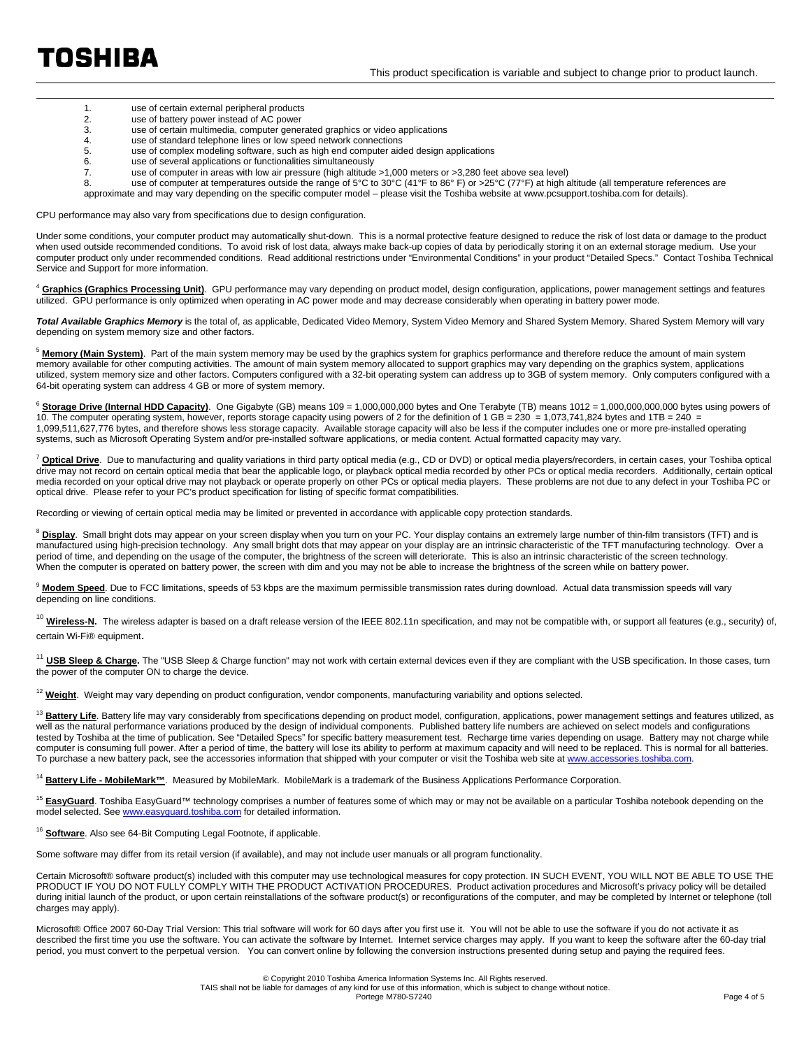<u>.</u>

- 1. use of certain external peripheral products<br>2. use of battery power instead of AC power 2. use of battery power instead of AC power<br>3. use of certain multimedia, computer gene use of certain multimedia, computer generated graphics or video applications 4. use of standard telephone lines or low speed network connections<br>5. use of complex modeling software, such as high end computer aide 5. use of complex modeling software, such as high end computer aided design applications use of several applications or functionalities simultaneously 7. use of computer in areas with low air pressure (high altitude >1,000 meters or >3,280 feet above sea level)
	-
	- 8. use of computer at temperatures outside the range of 5°C to 30°C (41°F to 86°F) or >25°C (77°F) at high altitude (all temperature references are
	- approximate and may vary depending on the specific computer model please visit the Toshiba website at www.pcsupport.toshiba.com for details).

CPU performance may also vary from specifications due to design configuration.

Under some conditions, your computer product may automatically shut-down. This is a normal protective feature designed to reduce the risk of lost data or damage to the product when used outside recommended conditions. To avoid risk of lost data, always make back-up copies of data by periodically storing it on an external storage medium. Use your computer product only under recommended conditions. Read additional restrictions under "Environmental Conditions" in your product "Detailed Specs." Contact Toshiba Technical Service and Support for more information.

<sup>4</sup> **Graphics (Graphics Processing Unit)**. GPU performance may vary depending on product model, design configuration, applications, power management settings and features utilized. GPU performance is only optimized when operating in AC power mode and may decrease considerably when operating in battery power mode.

Total Available Graphics Memory is the total of, as applicable, Dedicated Video Memory, System Video Memory and Shared System Memory. Shared System Memory will vary depending on system memory size and other factors.

<sup>5</sup> Memory (Main System). Part of the main system memory may be used by the graphics system for graphics performance and therefore reduce the amount of main system memory available for other computing activities. The amount of main system memory allocated to support graphics may vary depending on the graphics system, applications in the graphics system, applications utilized, system memory size and other factors. Computers configured with a 32-bit operating system can address up to 3GB of system memory. Only computers configured with a 64-bit operating system can address 4 GB or more of system memory.

<sup>6</sup> Storage Drive (Internal HDD Capacity). One Gigabyte (GB) means 109 = 1,000,000,000 bytes and One Terabyte (TB) means 1012 = 1,000,000,000,000 bytes using powers of 10. The computer operating system, however, reports storage capacity using powers of 2 for the definition of 1 GB = 230 = 1,073,741,824 bytes and 1TB = 240 = 1,099,511,627,776 bytes, and therefore shows less storage capacity. Available storage capacity will also be less if the computer includes one or more pre-installed operating systems, such as Microsoft Operating System and/or pre-installed software applications, or media content. Actual formatted capacity may vary.

<sup>7</sup> **Optical Drive**. Due to manufacturing and quality variations in third party optical media (e.g., CD or DVD) or optical media players/recorders, in certain cases, your Toshiba optical drive may not record on certain optical media that bear the applicable logo, or playback optical media recorded by other PCs or optical media recorders. Additionally, certain optical media recorded on your optical drive may not playback or operate properly on other PCs or optical media players. These problems are not due to any defect in your Toshiba PC or optical drive. Please refer to your PC's product specification for listing of specific format compatibilities.

Recording or viewing of certain optical media may be limited or prevented in accordance with applicable copy protection standards.

<sup>8</sup> Display. Small bright dots may appear on your screen display when you turn on your PC. Your display contains an extremely large number of thin-film transistors (TFT) and is manufactured using high-precision technology. Any small bright dots that may appear on your display are an intrinsic characteristic of the TFT manufacturing technology. Over a period of time, and depending on the usage of the computer, the brightness of the screen will deteriorate. This is also an intrinsic characteristic of the screen technology. When the computer is operated on battery power, the screen with dim and you may not be able to increase the brightness of the screen while on battery power.

<sup>9</sup> Modem Speed. Due to FCC limitations, speeds of 53 kbps are the maximum permissible transmission rates during download. Actual data transmission speeds will vary depending on line conditions.

<sup>10</sup> Wireless-N. The wireless adapter is based on a draft release version of the IEEE 802.11n specification, and may not be compatible with, or support all features (e.g., security) of, certain Wi-Fi® equipment.

<sup>11</sup> USB Sleep & Charge. The "USB Sleep & Charge function" may not work with certain external devices even if they are compliant with the USB specification. In those cases, turn the power of the computer ON to charge the device.

<sup>12</sup> Weight. Weight may vary depending on product configuration, vendor components, manufacturing variability and options selected.

<sup>13</sup> Battery Life. Battery life may vary considerably from specifications depending on product model, configuration, applications, power management settings and features utilized, as well as the natural performance variations produced by the design of individual components. Published battery life numbers are achieved on select models and configurations tested by Toshiba at the time of publication. See "Detailed Specs" for specific battery measurement test. Recharge time varies depending on usage. Battery may not charge while computer is consuming full power. After a period of time, the battery will lose its ability to perform at maximum capacity and will need to be replaced. This is normal for all batteries. To purchase a new battery pack, see the accessories information that shipped with your computer or visit the Toshiba web site at www.acce

<sup>14</sup> Battery Life - MobileMark™. Measured by MobileMark. MobileMark is a trademark of the Business Applications Performance Corporation.

<sup>15</sup> EasyGuard. Toshiba EasyGuard™ technology comprises a number of features some of which may or may not be available on a particular Toshiba notebook depending on the model selected. See www.easyguard.toshiba.com for detailed information.

<sup>16</sup> Software. Also see 64-Bit Computing Legal Footnote, if applicable.

Some software may differ from its retail version (if available), and may not include user manuals or all program functionality.

Certain Microsoft® software product(s) included with this computer may use technological measures for copy protection. IN SUCH EVENT, YOU WILL NOT BE ABLE TO USE THE PRODUCT IF YOU DO NOT FULLY COMPLY WITH THE PRODUCT ACTIVATION PROCEDURES. Product activation procedures and Microsoft's privacy policy will be detailed during initial launch of the product, or upon certain reinstallations of the software product(s) or reconfigurations of the computer, and may be completed by Internet or telephone (toll charges may apply).

Microsoft® Office 2007 60-Day Trial Version: This trial software will work for 60 days after you first use it. You will not be able to use the software if you do not activate it as described the first time you use the software. You can activate the software by Internet. Internet service charges may apply. If you want to keep the software after the 60-day trial period, you must convert to the perpetual version. You can convert online by following the conversion instructions presented during setup and paying the required fees.